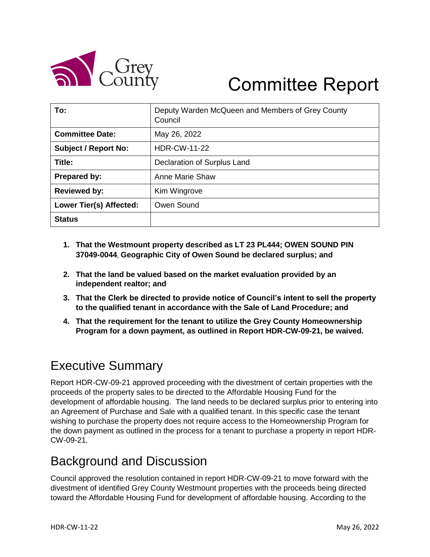

# Committee Report

| To:                         | Deputy Warden McQueen and Members of Grey County<br>Council |
|-----------------------------|-------------------------------------------------------------|
| <b>Committee Date:</b>      | May 26, 2022                                                |
| <b>Subject / Report No:</b> | <b>HDR-CW-11-22</b>                                         |
| Title:                      | Declaration of Surplus Land                                 |
| Prepared by:                | <b>Anne Marie Shaw</b>                                      |
| <b>Reviewed by:</b>         | Kim Wingrove                                                |
| Lower Tier(s) Affected:     | Owen Sound                                                  |
| <b>Status</b>               |                                                             |

- **1. That the Westmount property described as LT 23 PL444; OWEN SOUND PIN 37049-0044**, **Geographic City of Owen Sound be declared surplus; and**
- **2. That the land be valued based on the market evaluation provided by an independent realtor; and**
- **3. That the Clerk be directed to provide notice of Council's intent to sell the property to the qualified tenant in accordance with the Sale of Land Procedure; and**
- **4. That the requirement for the tenant to utilize the Grey County Homeownership Program for a down payment, as outlined in Report HDR-CW-09-21, be waived.**

# Executive Summary

Report HDR-CW-09-21 approved proceeding with the divestment of certain properties with the proceeds of the property sales to be directed to the Affordable Housing Fund for the development of affordable housing. The land needs to be declared surplus prior to entering into an Agreement of Purchase and Sale with a qualified tenant. In this specific case the tenant wishing to purchase the property does not require access to the Homeownership Program for the down payment as outlined in the process for a tenant to purchase a property in report HDR-CW-09-21.

# Background and Discussion

Council approved the resolution contained in report HDR-CW-09-21 to move forward with the divestment of identified Grey County Westmount properties with the proceeds being directed toward the Affordable Housing Fund for development of affordable housing. According to the